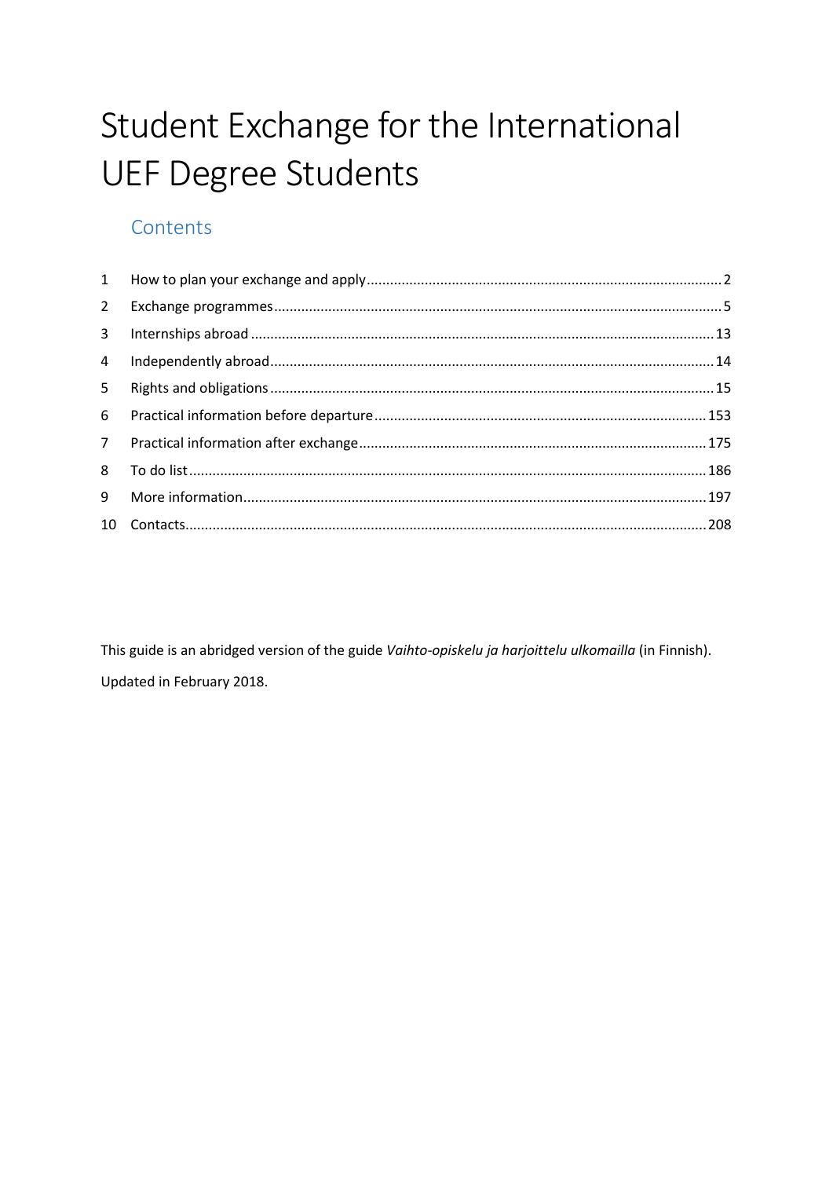# Student Exchange for the International **UEF Degree Students**

# Contents

| $2^{\circ}$    |  |
|----------------|--|
| $\mathbf{3}$   |  |
| $\overline{4}$ |  |
| 5 <sub>1</sub> |  |
| 6              |  |
| 7 <sup>7</sup> |  |
| 8              |  |
| 9              |  |
|                |  |

This guide is an abridged version of the guide Vaihto-opiskelu ja harjoittelu ulkomailla (in Finnish). Updated in February 2018.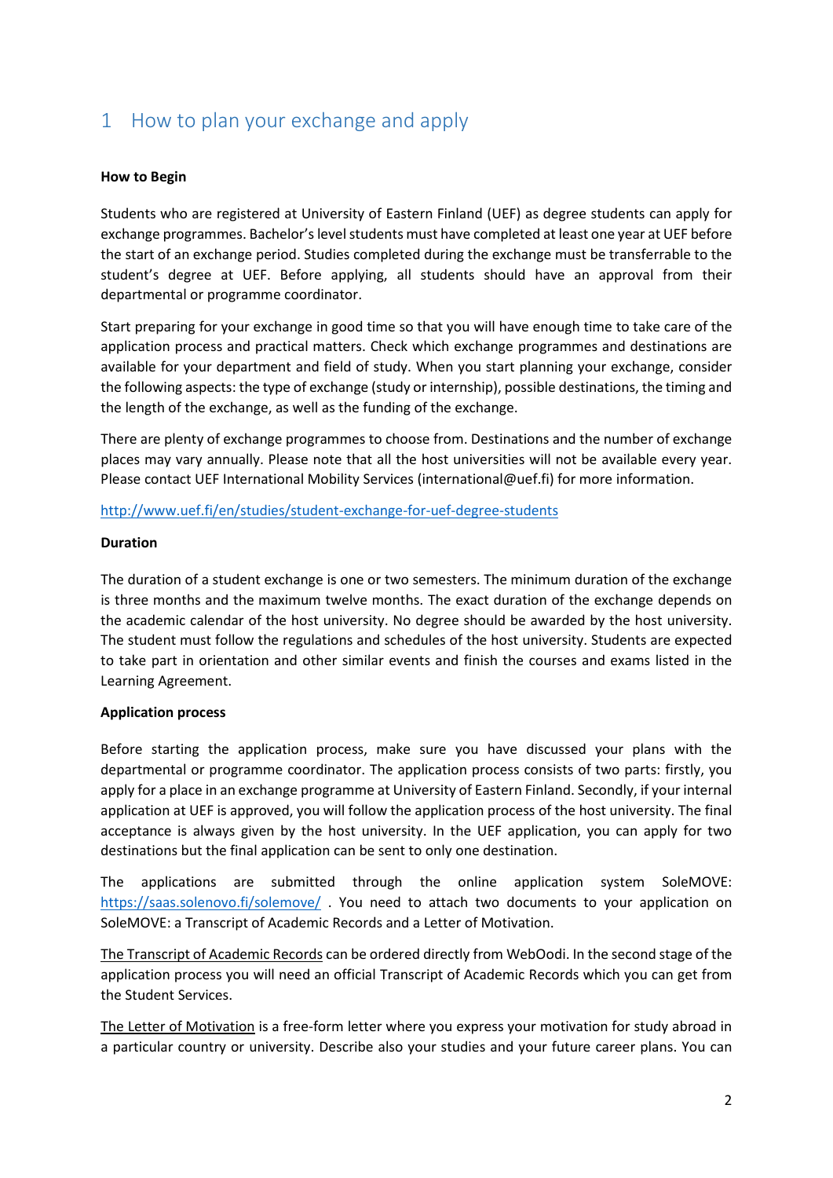# <span id="page-1-0"></span>1 How to plan your exchange and apply

### **How to Begin**

Students who are registered at University of Eastern Finland (UEF) as degree students can apply for exchange programmes. Bachelor's level students must have completed at least one year at UEF before the start of an exchange period. Studies completed during the exchange must be transferrable to the student's degree at UEF. Before applying, all students should have an approval from their departmental or programme coordinator.

Start preparing for your exchange in good time so that you will have enough time to take care of the application process and practical matters. Check which exchange programmes and destinations are available for your department and field of study. When you start planning your exchange, consider the following aspects: the type of exchange (study or internship), possible destinations, the timing and the length of the exchange, as well as the funding of the exchange.

There are plenty of exchange programmes to choose from. Destinations and the number of exchange places may vary annually. Please note that all the host universities will not be available every year. Please contact UEF International Mobility Services (international@uef.fi) for more information.

### <http://www.uef.fi/en/studies/student-exchange-for-uef-degree-students>

### **Duration**

The duration of a student exchange is one or two semesters. The minimum duration of the exchange is three months and the maximum twelve months. The exact duration of the exchange depends on the academic calendar of the host university. No degree should be awarded by the host university. The student must follow the regulations and schedules of the host university. Students are expected to take part in orientation and other similar events and finish the courses and exams listed in the Learning Agreement.

### **Application process**

Before starting the application process, make sure you have discussed your plans with the departmental or programme coordinator. The application process consists of two parts: firstly, you apply for a place in an exchange programme at University of Eastern Finland. Secondly, if your internal application at UEF is approved, you will follow the application process of the host university. The final acceptance is always given by the host university. In the UEF application, you can apply for two destinations but the final application can be sent to only one destination.

The applications are submitted through the online application system SoleMOVE: <https://saas.solenovo.fi/solemove/> . You need to attach two documents to your application on SoleMOVE: a Transcript of Academic Records and a Letter of Motivation.

The Transcript of Academic Records can be ordered directly from WebOodi. In the second stage of the application process you will need an official Transcript of Academic Records which you can get from the Student Services.

The Letter of Motivation is a free-form letter where you express your motivation for study abroad in a particular country or university. Describe also your studies and your future career plans. You can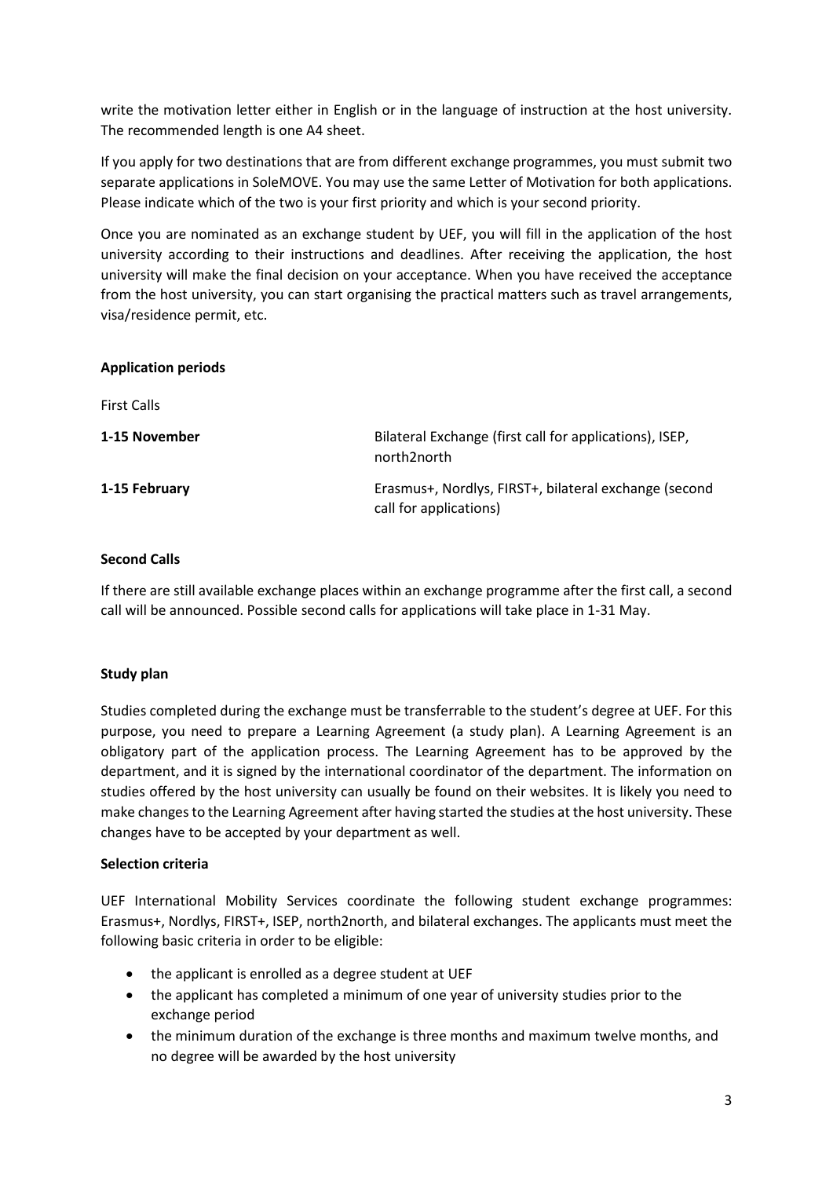write the motivation letter either in English or in the language of instruction at the host university. The recommended length is one A4 sheet.

If you apply for two destinations that are from different exchange programmes, you must submit two separate applications in SoleMOVE. You may use the same Letter of Motivation for both applications. Please indicate which of the two is your first priority and which is your second priority.

Once you are nominated as an exchange student by UEF, you will fill in the application of the host university according to their instructions and deadlines. After receiving the application, the host university will make the final decision on your acceptance. When you have received the acceptance from the host university, you can start organising the practical matters such as travel arrangements, visa/residence permit, etc.

### **Application periods**

First Calls

| 1-15 November | Bilateral Exchange (first call for applications), ISEP,<br>north2north          |
|---------------|---------------------------------------------------------------------------------|
| 1-15 February | Erasmus+, Nordlys, FIRST+, bilateral exchange (second<br>call for applications) |

### **Second Calls**

If there are still available exchange places within an exchange programme after the first call, a second call will be announced. Possible second calls for applications will take place in 1-31 May.

### **Study plan**

Studies completed during the exchange must be transferrable to the student's degree at UEF. For this purpose, you need to prepare a Learning Agreement (a study plan). A Learning Agreement is an obligatory part of the application process. The Learning Agreement has to be approved by the department, and it is signed by the international coordinator of the department. The information on studies offered by the host university can usually be found on their websites. It is likely you need to make changes to the Learning Agreement after having started the studies at the host university. These changes have to be accepted by your department as well.

### **Selection criteria**

UEF International Mobility Services coordinate the following student exchange programmes: Erasmus+, Nordlys, FIRST+, ISEP, north2north, and bilateral exchanges. The applicants must meet the following basic criteria in order to be eligible:

- the applicant is enrolled as a degree student at UEF
- the applicant has completed a minimum of one year of university studies prior to the exchange period
- the minimum duration of the exchange is three months and maximum twelve months, and no degree will be awarded by the host university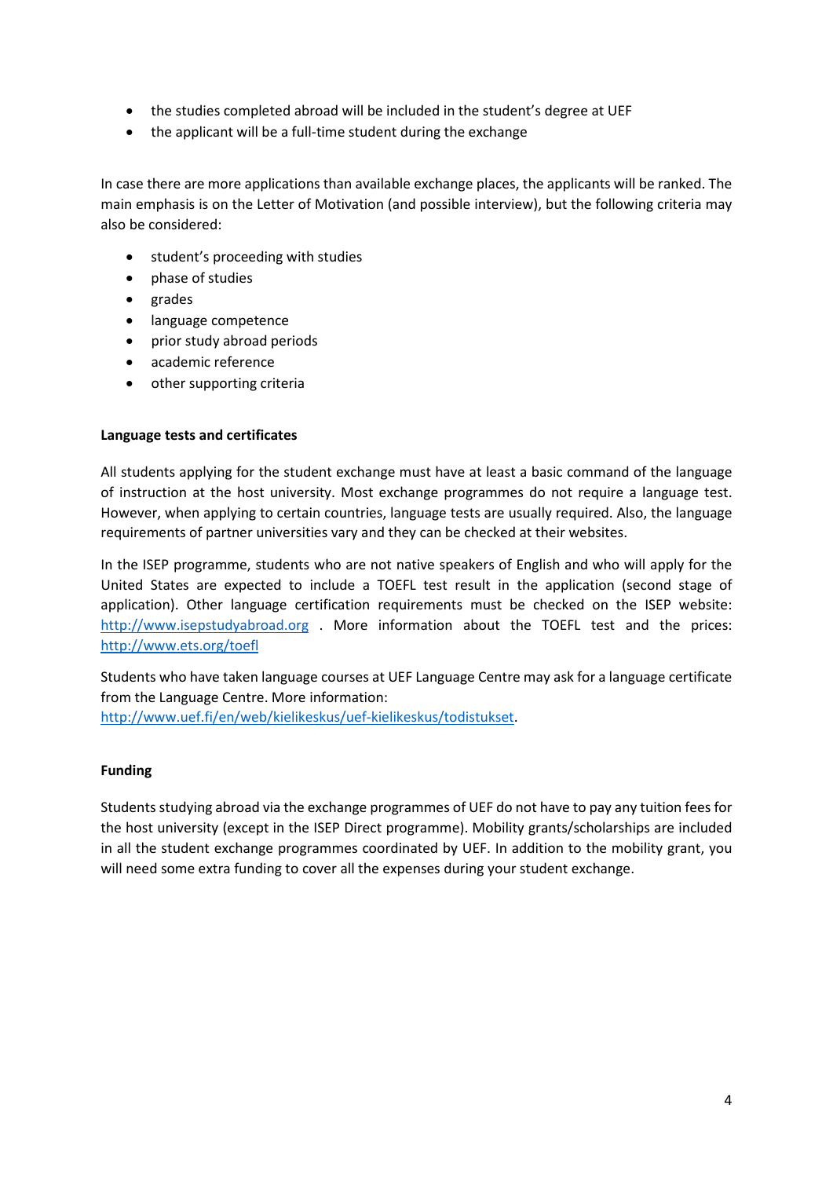- the studies completed abroad will be included in the student's degree at UEF
- the applicant will be a full-time student during the exchange

In case there are more applications than available exchange places, the applicants will be ranked. The main emphasis is on the Letter of Motivation (and possible interview), but the following criteria may also be considered:

- student's proceeding with studies
- phase of studies
- grades
- language competence
- prior study abroad periods
- academic reference
- other supporting criteria

### **Language tests and certificates**

All students applying for the student exchange must have at least a basic command of the language of instruction at the host university. Most exchange programmes do not require a language test. However, when applying to certain countries, language tests are usually required. Also, the language requirements of partner universities vary and they can be checked at their websites.

In the ISEP programme, students who are not native speakers of English and who will apply for the United States are expected to include a TOEFL test result in the application (second stage of application). Other language certification requirements must be checked on the ISEP website: [http://www.isepstudyabroad.org](http://www.isepstudyabroad.org/) . More information about the TOEFL test and the prices: <http://www.ets.org/toefl>

Students who have taken language courses at UEF Language Centre may ask for a language certificate from the Language Centre. More information:

[http://www.uef.fi/en/web/kielikeskus/uef-kielikeskus/todistukset.](http://www.uef.fi/en/web/kielikeskus/uef-kielikeskus/todistukset)

### **Funding**

Students studying abroad via the exchange programmes of UEF do not have to pay any tuition fees for the host university (except in the ISEP Direct programme). Mobility grants/scholarships are included in all the student exchange programmes coordinated by UEF. In addition to the mobility grant, you will need some extra funding to cover all the expenses during your student exchange.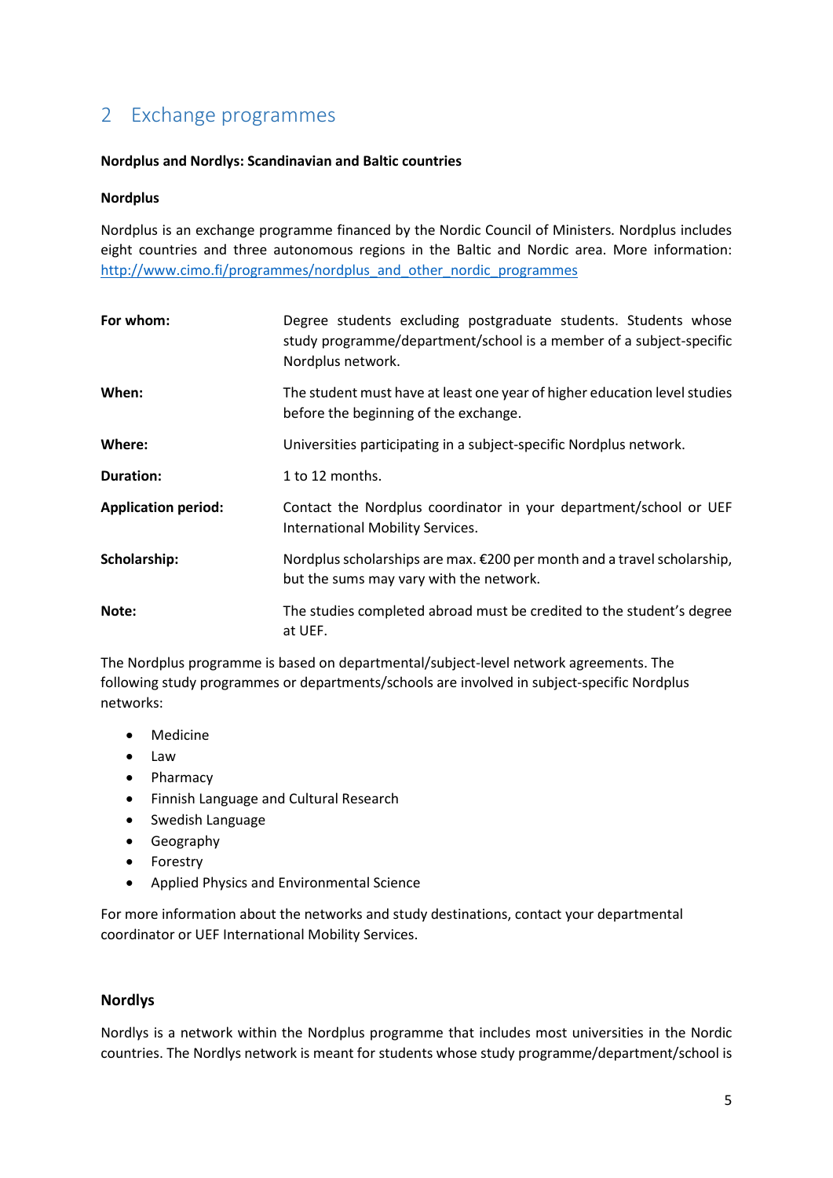# <span id="page-4-0"></span>2 Exchange programmes

### **Nordplus and Nordlys: Scandinavian and Baltic countries**

### **Nordplus**

Nordplus is an exchange programme financed by the Nordic Council of Ministers. Nordplus includes eight countries and three autonomous regions in the Baltic and Nordic area. More information: [http://www.cimo.fi/programmes/nordplus\\_and\\_other\\_nordic\\_programmes](http://www.cimo.fi/programmes/nordplus_and_other_nordic_programmes)

| For whom:                  | Degree students excluding postgraduate students. Students whose<br>study programme/department/school is a member of a subject-specific<br>Nordplus network. |
|----------------------------|-------------------------------------------------------------------------------------------------------------------------------------------------------------|
| When:                      | The student must have at least one year of higher education level studies<br>before the beginning of the exchange.                                          |
| Where:                     | Universities participating in a subject-specific Nordplus network.                                                                                          |
| <b>Duration:</b>           | 1 to 12 months.                                                                                                                                             |
| <b>Application period:</b> | Contact the Nordplus coordinator in your department/school or UEF<br>International Mobility Services.                                                       |
| Scholarship:               | Nordplus scholarships are max. €200 per month and a travel scholarship,<br>but the sums may vary with the network.                                          |
| Note:                      | The studies completed abroad must be credited to the student's degree<br>at UEF.                                                                            |

The Nordplus programme is based on departmental/subject-level network agreements. The following study programmes or departments/schools are involved in subject-specific Nordplus networks:

- Medicine
- Law
- Pharmacy
- Finnish Language and Cultural Research
- Swedish Language
- Geography
- Forestry
- Applied Physics and Environmental Science

For more information about the networks and study destinations, contact your departmental coordinator or UEF International Mobility Services.

### **Nordlys**

Nordlys is a network within the Nordplus programme that includes most universities in the Nordic countries. The Nordlys network is meant for students whose study programme/department/school is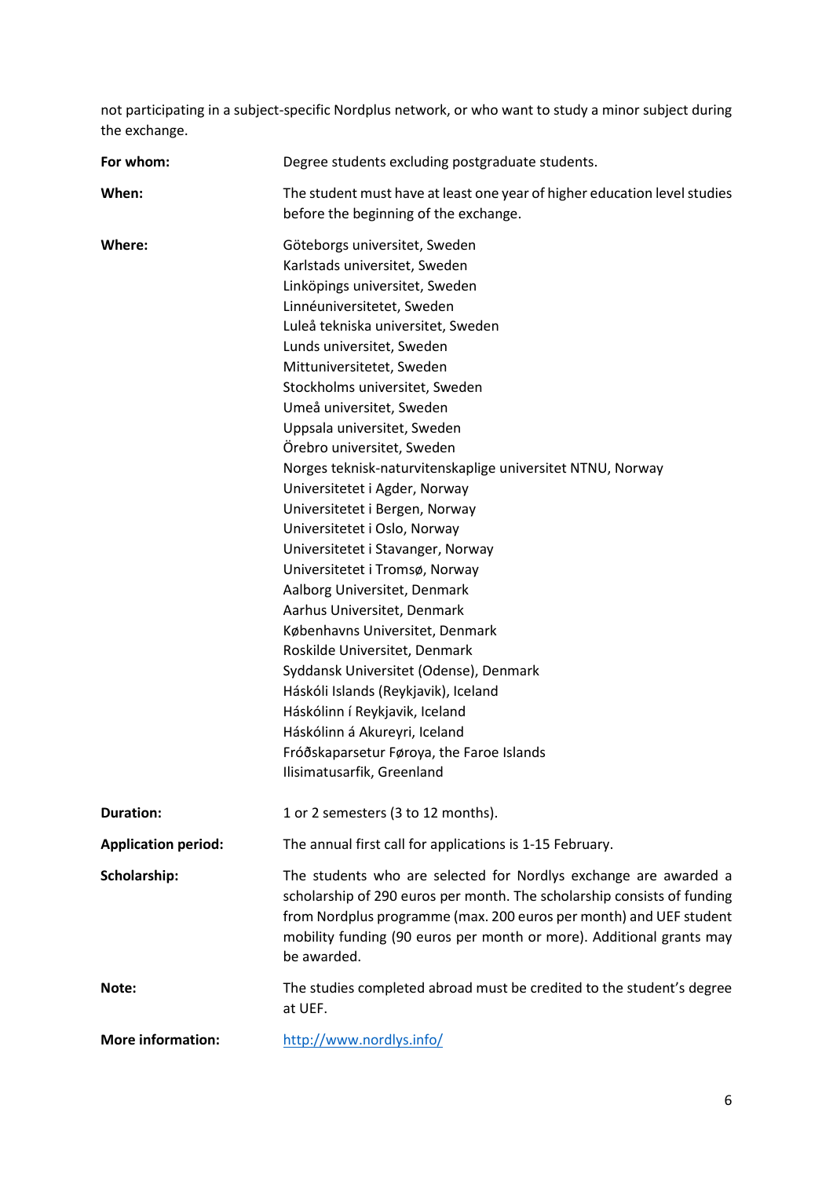not participating in a subject-specific Nordplus network, or who want to study a minor subject during the exchange.

| For whom:                  | Degree students excluding postgraduate students.                                                                                                                                                                                                                                                                                                                                                                                                                                                                                                                                                                                                                                                                                                                                                                                                                                                                                                                     |
|----------------------------|----------------------------------------------------------------------------------------------------------------------------------------------------------------------------------------------------------------------------------------------------------------------------------------------------------------------------------------------------------------------------------------------------------------------------------------------------------------------------------------------------------------------------------------------------------------------------------------------------------------------------------------------------------------------------------------------------------------------------------------------------------------------------------------------------------------------------------------------------------------------------------------------------------------------------------------------------------------------|
| When:                      | The student must have at least one year of higher education level studies<br>before the beginning of the exchange.                                                                                                                                                                                                                                                                                                                                                                                                                                                                                                                                                                                                                                                                                                                                                                                                                                                   |
| Where:                     | Göteborgs universitet, Sweden<br>Karlstads universitet, Sweden<br>Linköpings universitet, Sweden<br>Linnéuniversitetet, Sweden<br>Luleå tekniska universitet, Sweden<br>Lunds universitet, Sweden<br>Mittuniversitetet, Sweden<br>Stockholms universitet, Sweden<br>Umeå universitet, Sweden<br>Uppsala universitet, Sweden<br>Örebro universitet, Sweden<br>Norges teknisk-naturvitenskaplige universitet NTNU, Norway<br>Universitetet i Agder, Norway<br>Universitetet i Bergen, Norway<br>Universitetet i Oslo, Norway<br>Universitetet i Stavanger, Norway<br>Universitetet i Tromsø, Norway<br>Aalborg Universitet, Denmark<br>Aarhus Universitet, Denmark<br>Københavns Universitet, Denmark<br>Roskilde Universitet, Denmark<br>Syddansk Universitet (Odense), Denmark<br>Háskóli Islands (Reykjavik), Iceland<br>Háskólinn í Reykjavik, Iceland<br>Háskólinn á Akureyri, Iceland<br>Fróðskaparsetur Føroya, the Faroe Islands<br>Ilisimatusarfik, Greenland |
| <b>Duration:</b>           | 1 or 2 semesters (3 to 12 months).                                                                                                                                                                                                                                                                                                                                                                                                                                                                                                                                                                                                                                                                                                                                                                                                                                                                                                                                   |
| <b>Application period:</b> | The annual first call for applications is 1-15 February.                                                                                                                                                                                                                                                                                                                                                                                                                                                                                                                                                                                                                                                                                                                                                                                                                                                                                                             |
| Scholarship:               | The students who are selected for Nordlys exchange are awarded a<br>scholarship of 290 euros per month. The scholarship consists of funding<br>from Nordplus programme (max. 200 euros per month) and UEF student<br>mobility funding (90 euros per month or more). Additional grants may<br>be awarded.                                                                                                                                                                                                                                                                                                                                                                                                                                                                                                                                                                                                                                                             |
| Note:                      | The studies completed abroad must be credited to the student's degree<br>at UEF.                                                                                                                                                                                                                                                                                                                                                                                                                                                                                                                                                                                                                                                                                                                                                                                                                                                                                     |
| <b>More information:</b>   | http://www.nordlys.info/                                                                                                                                                                                                                                                                                                                                                                                                                                                                                                                                                                                                                                                                                                                                                                                                                                                                                                                                             |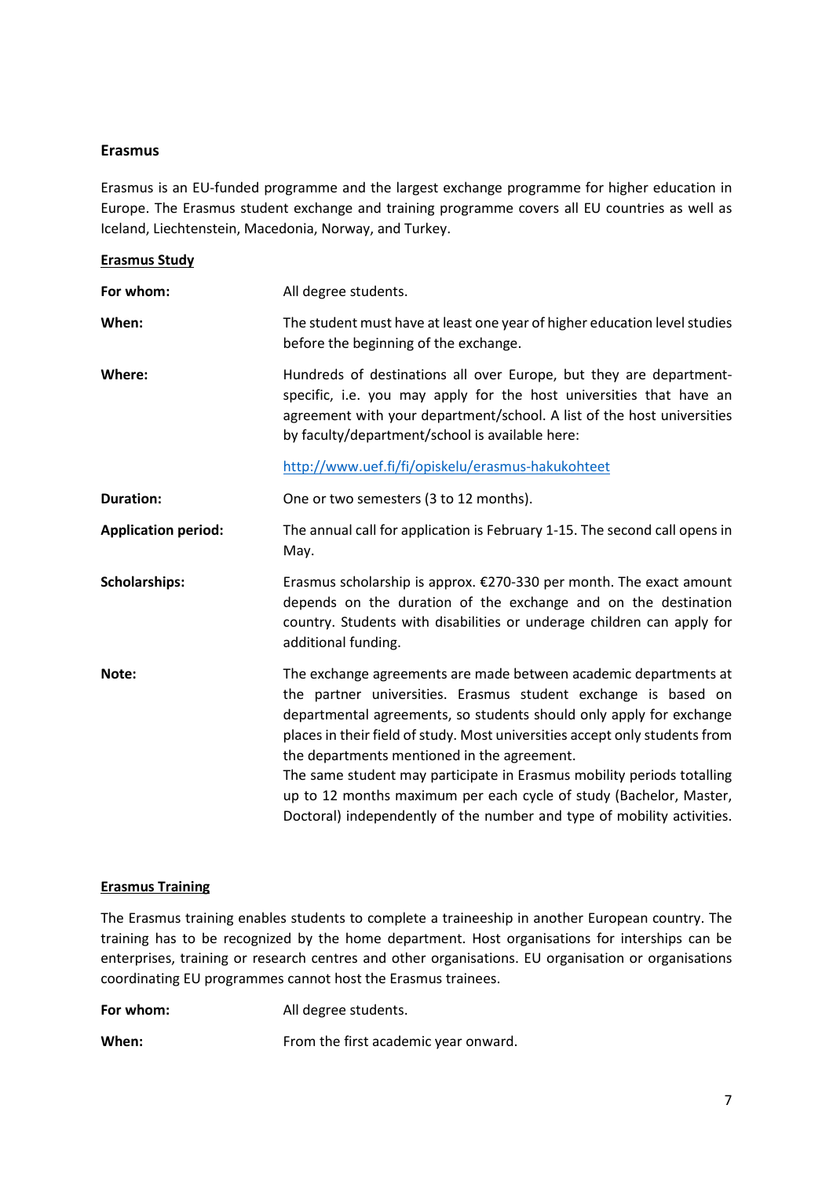### **Erasmus**

Erasmus is an EU-funded programme and the largest exchange programme for higher education in Europe. The Erasmus student exchange and training programme covers all EU countries as well as Iceland, Liechtenstein, Macedonia, Norway, and Turkey.

### **Erasmus Study**

| For whom:                  | All degree students.                                                                                                                                                                                                                                                                                                                                                                                                                                                                                                                                              |
|----------------------------|-------------------------------------------------------------------------------------------------------------------------------------------------------------------------------------------------------------------------------------------------------------------------------------------------------------------------------------------------------------------------------------------------------------------------------------------------------------------------------------------------------------------------------------------------------------------|
| When:                      | The student must have at least one year of higher education level studies<br>before the beginning of the exchange.                                                                                                                                                                                                                                                                                                                                                                                                                                                |
| Where:                     | Hundreds of destinations all over Europe, but they are department-<br>specific, i.e. you may apply for the host universities that have an<br>agreement with your department/school. A list of the host universities<br>by faculty/department/school is available here:                                                                                                                                                                                                                                                                                            |
|                            | http://www.uef.fi/fi/opiskelu/erasmus-hakukohteet                                                                                                                                                                                                                                                                                                                                                                                                                                                                                                                 |
| <b>Duration:</b>           | One or two semesters (3 to 12 months).                                                                                                                                                                                                                                                                                                                                                                                                                                                                                                                            |
| <b>Application period:</b> | The annual call for application is February 1-15. The second call opens in<br>May.                                                                                                                                                                                                                                                                                                                                                                                                                                                                                |
| <b>Scholarships:</b>       | Erasmus scholarship is approx. €270-330 per month. The exact amount<br>depends on the duration of the exchange and on the destination<br>country. Students with disabilities or underage children can apply for<br>additional funding.                                                                                                                                                                                                                                                                                                                            |
| Note:                      | The exchange agreements are made between academic departments at<br>the partner universities. Erasmus student exchange is based on<br>departmental agreements, so students should only apply for exchange<br>places in their field of study. Most universities accept only students from<br>the departments mentioned in the agreement.<br>The same student may participate in Erasmus mobility periods totalling<br>up to 12 months maximum per each cycle of study (Bachelor, Master,<br>Doctoral) independently of the number and type of mobility activities. |
|                            |                                                                                                                                                                                                                                                                                                                                                                                                                                                                                                                                                                   |

### **Erasmus Training**

The Erasmus training enables students to complete a traineeship in another European country. The training has to be recognized by the home department. Host organisations for interships can be enterprises, training or research centres and other organisations. EU organisation or organisations coordinating EU programmes cannot host the Erasmus trainees.

**For whom:** All degree students.

When: **When:** From the first academic year onward.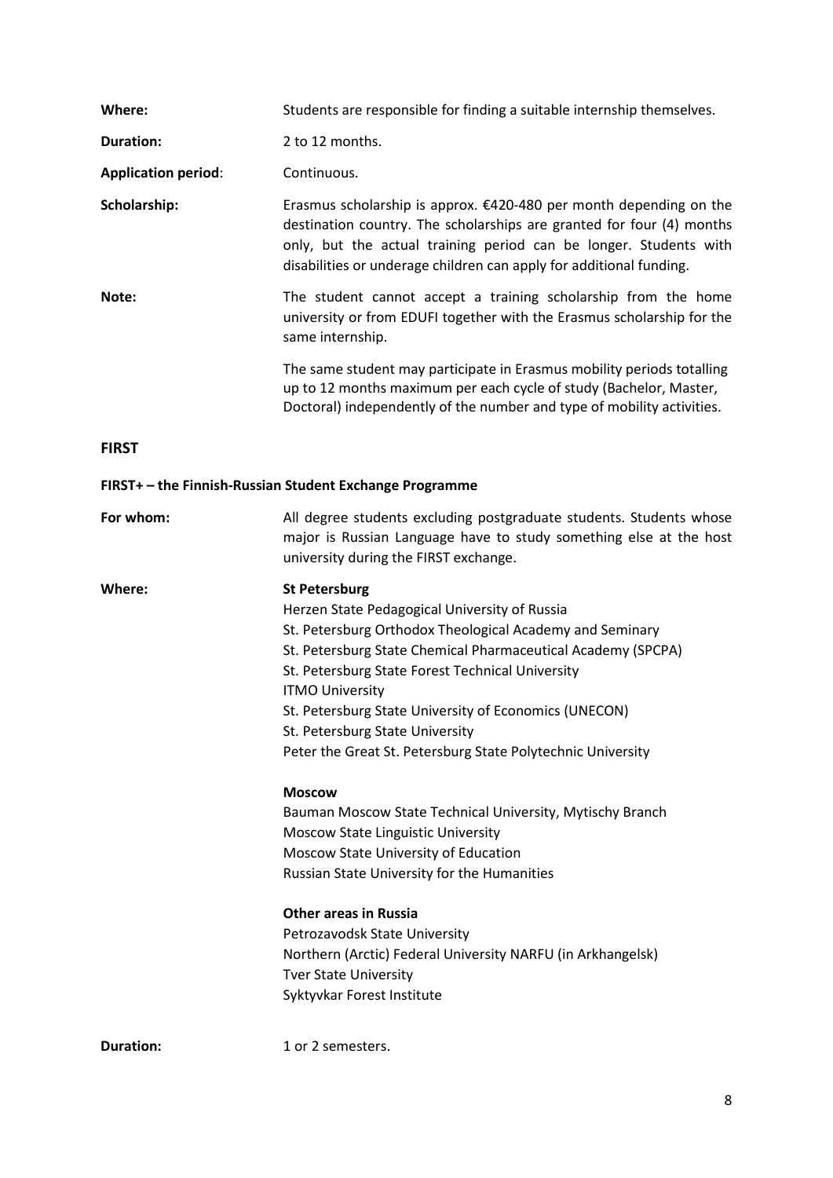| Where:                     | Students are responsible for finding a suitable internship themselves.                                                                                                                                                                                                                                                                                                                                                                                                                                                                                                                                                                                                                                                                                                                                                                              |
|----------------------------|-----------------------------------------------------------------------------------------------------------------------------------------------------------------------------------------------------------------------------------------------------------------------------------------------------------------------------------------------------------------------------------------------------------------------------------------------------------------------------------------------------------------------------------------------------------------------------------------------------------------------------------------------------------------------------------------------------------------------------------------------------------------------------------------------------------------------------------------------------|
| <b>Duration:</b>           | 2 to 12 months.                                                                                                                                                                                                                                                                                                                                                                                                                                                                                                                                                                                                                                                                                                                                                                                                                                     |
| <b>Application period:</b> | Continuous.                                                                                                                                                                                                                                                                                                                                                                                                                                                                                                                                                                                                                                                                                                                                                                                                                                         |
| Scholarship:               | Erasmus scholarship is approx. $£420-480$ per month depending on the<br>destination country. The scholarships are granted for four (4) months<br>only, but the actual training period can be longer. Students with<br>disabilities or underage children can apply for additional funding.                                                                                                                                                                                                                                                                                                                                                                                                                                                                                                                                                           |
| Note:                      | The student cannot accept a training scholarship from the home<br>university or from EDUFI together with the Erasmus scholarship for the<br>same internship.                                                                                                                                                                                                                                                                                                                                                                                                                                                                                                                                                                                                                                                                                        |
|                            | The same student may participate in Erasmus mobility periods totalling<br>up to 12 months maximum per each cycle of study (Bachelor, Master,<br>Doctoral) independently of the number and type of mobility activities.                                                                                                                                                                                                                                                                                                                                                                                                                                                                                                                                                                                                                              |
| <b>FIRST</b>               |                                                                                                                                                                                                                                                                                                                                                                                                                                                                                                                                                                                                                                                                                                                                                                                                                                                     |
|                            | FIRST+ - the Finnish-Russian Student Exchange Programme                                                                                                                                                                                                                                                                                                                                                                                                                                                                                                                                                                                                                                                                                                                                                                                             |
| For whom:                  | All degree students excluding postgraduate students. Students whose<br>major is Russian Language have to study something else at the host<br>university during the FIRST exchange.                                                                                                                                                                                                                                                                                                                                                                                                                                                                                                                                                                                                                                                                  |
|                            |                                                                                                                                                                                                                                                                                                                                                                                                                                                                                                                                                                                                                                                                                                                                                                                                                                                     |
| Where:                     | <b>St Petersburg</b><br>Herzen State Pedagogical University of Russia<br>St. Petersburg Orthodox Theological Academy and Seminary<br>St. Petersburg State Chemical Pharmaceutical Academy (SPCPA)<br>St. Petersburg State Forest Technical University<br><b>ITMO University</b><br>St. Petersburg State University of Economics (UNECON)<br>St. Petersburg State University<br>Peter the Great St. Petersburg State Polytechnic University<br><b>Moscow</b><br>Bauman Moscow State Technical University, Mytischy Branch<br>Moscow State Linguistic University<br>Moscow State University of Education<br>Russian State University for the Humanities<br><b>Other areas in Russia</b><br>Petrozavodsk State University<br>Northern (Arctic) Federal University NARFU (in Arkhangelsk)<br><b>Tver State University</b><br>Syktyvkar Forest Institute |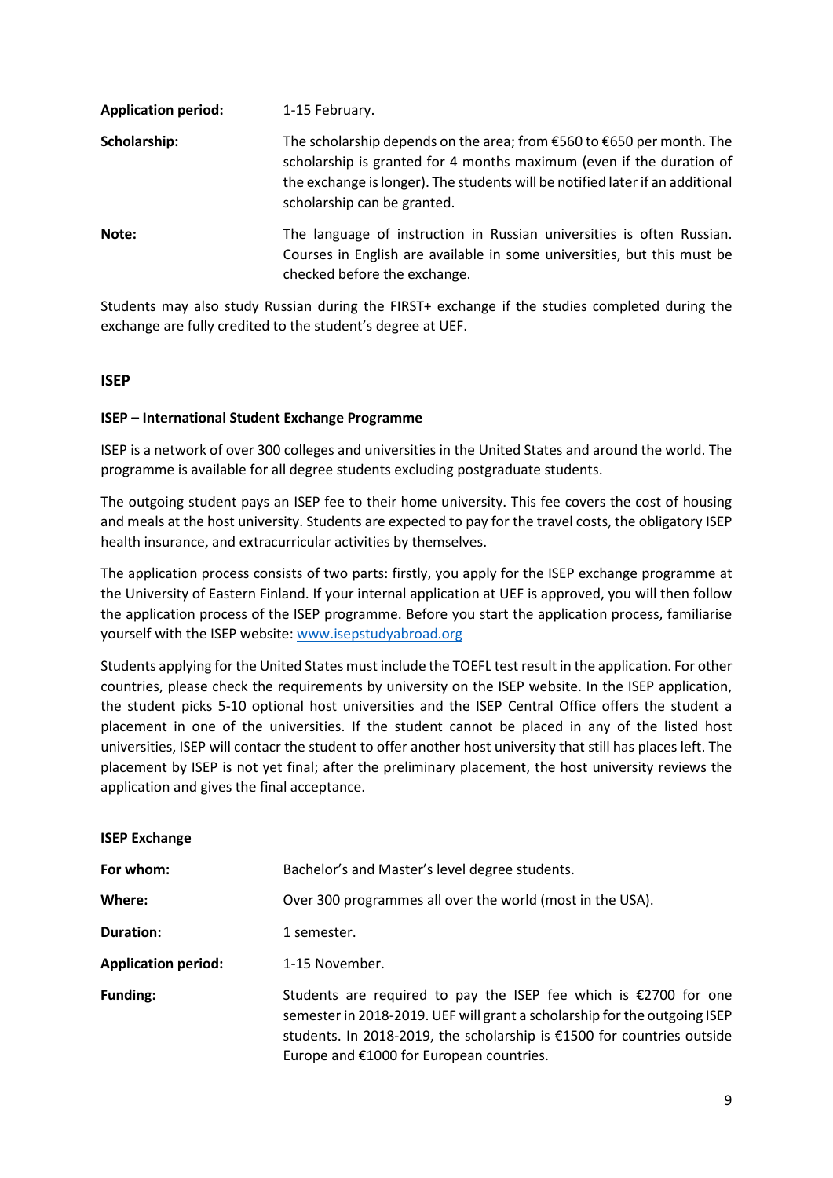| <b>Application period:</b> | 1-15 February.                                                                                                                                                                                                                                                    |
|----------------------------|-------------------------------------------------------------------------------------------------------------------------------------------------------------------------------------------------------------------------------------------------------------------|
| Scholarship:               | The scholarship depends on the area; from $£560$ to $£650$ per month. The<br>scholarship is granted for 4 months maximum (even if the duration of<br>the exchange is longer). The students will be notified later if an additional<br>scholarship can be granted. |
| Note:                      | The language of instruction in Russian universities is often Russian.<br>Courses in English are available in some universities, but this must be<br>checked before the exchange.                                                                                  |

Students may also study Russian during the FIRST+ exchange if the studies completed during the exchange are fully credited to the student's degree at UEF.

### **ISEP**

### **ISEP – International Student Exchange Programme**

ISEP is a network of over 300 colleges and universities in the United States and around the world. The programme is available for all degree students excluding postgraduate students.

The outgoing student pays an ISEP fee to their home university. This fee covers the cost of housing and meals at the host university. Students are expected to pay for the travel costs, the obligatory ISEP health insurance, and extracurricular activities by themselves.

The application process consists of two parts: firstly, you apply for the ISEP exchange programme at the University of Eastern Finland. If your internal application at UEF is approved, you will then follow the application process of the ISEP programme. Before you start the application process, familiarise yourself with the ISEP website: [www.isepstudyabroad.org](http://www.isepstudyabroad.org/)

Students applying for the United States must include the TOEFL test result in the application. For other countries, please check the requirements by university on the ISEP website. In the ISEP application, the student picks 5-10 optional host universities and the ISEP Central Office offers the student a placement in one of the universities. If the student cannot be placed in any of the listed host universities, ISEP will contacr the student to offer another host university that still has places left. The placement by ISEP is not yet final; after the preliminary placement, the host university reviews the application and gives the final acceptance.

### **ISEP Exchange**

| For whom:                  | Bachelor's and Master's level degree students.                                                                                                                                                                                                                        |
|----------------------------|-----------------------------------------------------------------------------------------------------------------------------------------------------------------------------------------------------------------------------------------------------------------------|
| Where:                     | Over 300 programmes all over the world (most in the USA).                                                                                                                                                                                                             |
| <b>Duration:</b>           | 1 semester.                                                                                                                                                                                                                                                           |
| <b>Application period:</b> | 1-15 November.                                                                                                                                                                                                                                                        |
| Funding:                   | Students are required to pay the ISEP fee which is $£2700$ for one<br>semester in 2018-2019. UEF will grant a scholarship for the outgoing ISEP<br>students. In 2018-2019, the scholarship is €1500 for countries outside<br>Europe and €1000 for European countries. |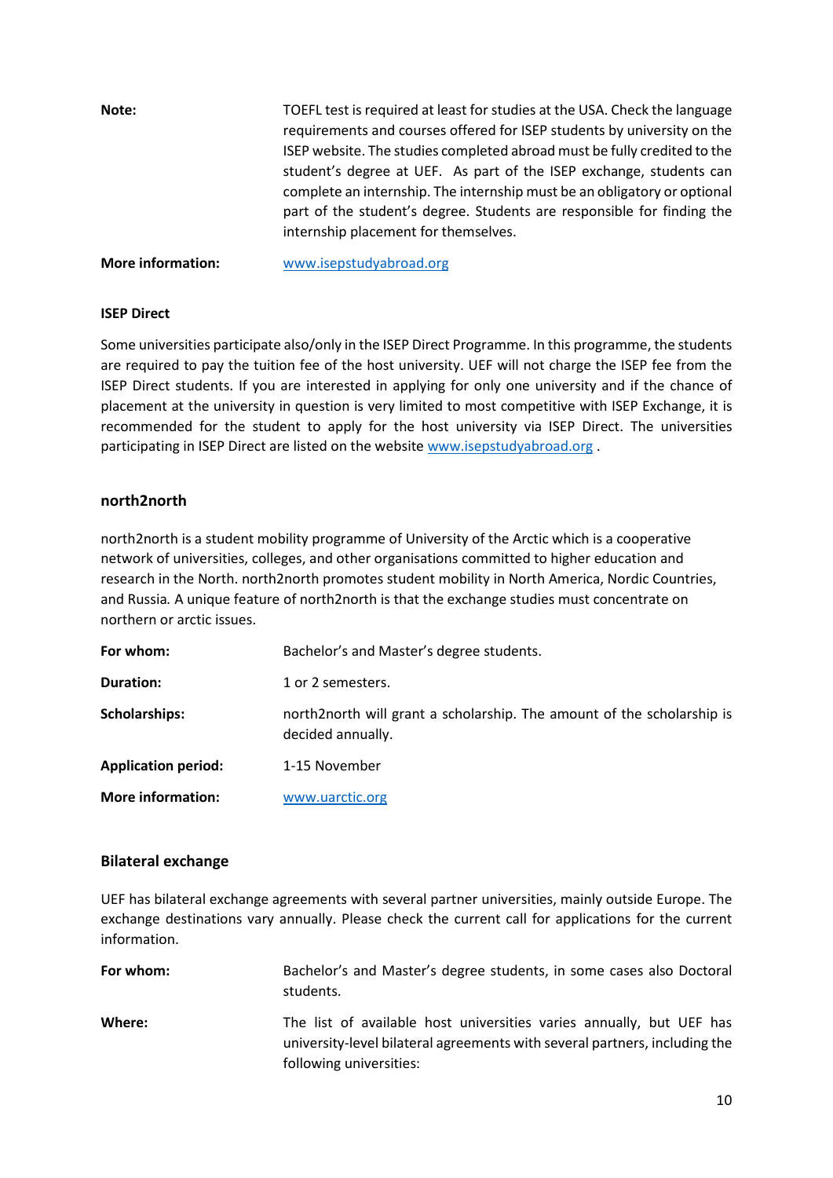| Note: | TOEFL test is required at least for studies at the USA. Check the language<br>requirements and courses offered for ISEP students by university on the<br>ISEP website. The studies completed abroad must be fully credited to the<br>student's degree at UEF. As part of the ISEP exchange, students can<br>complete an internship. The internship must be an obligatory or optional<br>part of the student's degree. Students are responsible for finding the<br>internship placement for themselves. |
|-------|--------------------------------------------------------------------------------------------------------------------------------------------------------------------------------------------------------------------------------------------------------------------------------------------------------------------------------------------------------------------------------------------------------------------------------------------------------------------------------------------------------|
|       |                                                                                                                                                                                                                                                                                                                                                                                                                                                                                                        |

### **More information:** [www.isepstudyabroad.org](http://www.isepstudyabroad.org/)

#### **ISEP Direct**

Some universities participate also/only in the ISEP Direct Programme. In this programme, the students are required to pay the tuition fee of the host university. UEF will not charge the ISEP fee from the ISEP Direct students. If you are interested in applying for only one university and if the chance of placement at the university in question is very limited to most competitive with ISEP Exchange, it is recommended for the student to apply for the host university via ISEP Direct. The universities participating in ISEP Direct are listed on the website [www.isepstudyabroad.org](http://www.isepstudyabroad.org/) .

### **north2north**

north2north is a student mobility programme of University of the Arctic which is a cooperative network of universities, colleges, and other organisations committed to higher education and research in the North. north2north promotes student mobility in North America, Nordic Countries, and Russia*.* A unique feature of north2north is that the exchange studies must concentrate on northern or arctic issues.

| For whom:                  | Bachelor's and Master's degree students.                                                    |
|----------------------------|---------------------------------------------------------------------------------------------|
| Duration:                  | 1 or 2 semesters.                                                                           |
| <b>Scholarships:</b>       | north2north will grant a scholarship. The amount of the scholarship is<br>decided annually. |
| <b>Application period:</b> | 1-15 November                                                                               |
| <b>More information:</b>   | www.uarctic.org                                                                             |

### **Bilateral exchange**

UEF has bilateral exchange agreements with several partner universities, mainly outside Europe. The exchange destinations vary annually. Please check the current call for applications for the current information.

| For whom: | Bachelor's and Master's degree students, in some cases also Doctoral<br>students.                                                                                             |
|-----------|-------------------------------------------------------------------------------------------------------------------------------------------------------------------------------|
| Where:    | The list of available host universities varies annually, but UEF has<br>university-level bilateral agreements with several partners, including the<br>following universities: |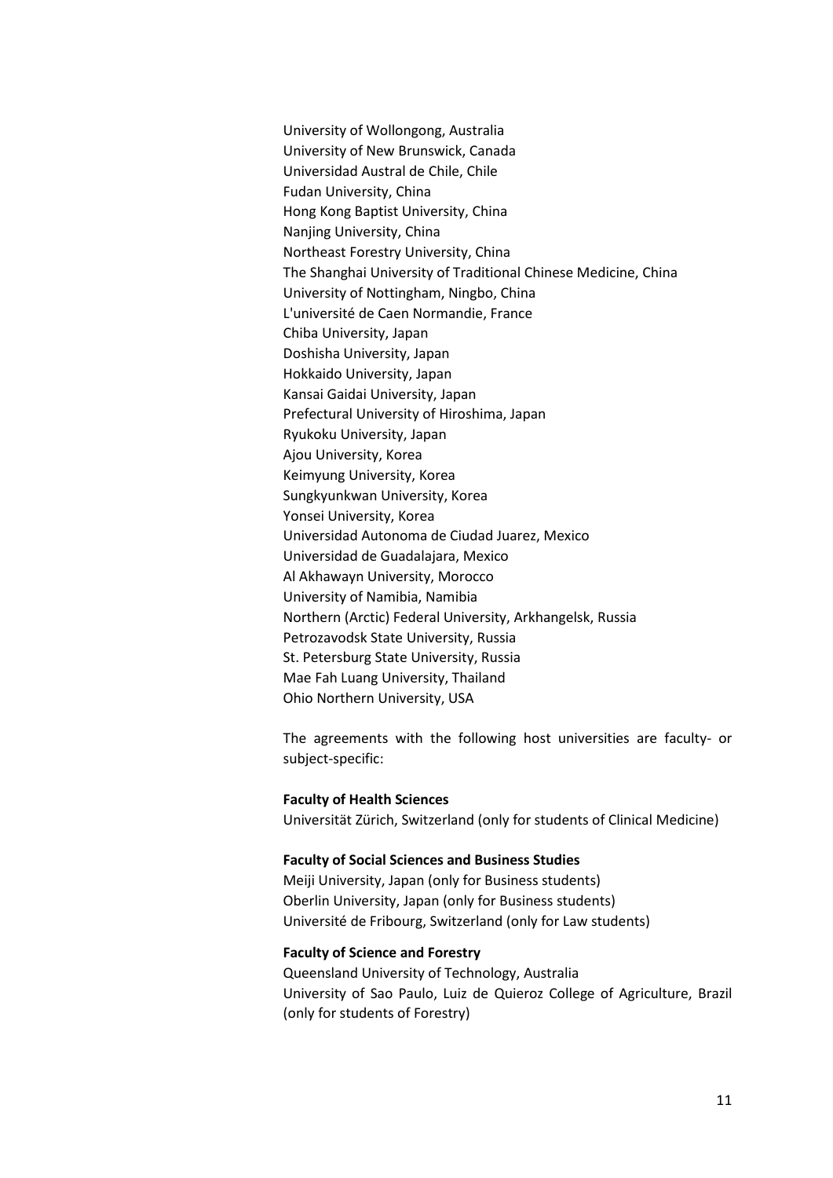University of Wollongong, Australia University of New Brunswick, Canada Universidad Austral de Chile, Chile Fudan University, China Hong Kong Baptist University, China Nanjing University, China Northeast Forestry University, China The Shanghai University of Traditional Chinese Medicine, China University of Nottingham, Ningbo, China L'université de Caen Normandie, France Chiba University, Japan Doshisha University, Japan Hokkaido University, Japan Kansai Gaidai University, Japan Prefectural University of Hiroshima, Japan Ryukoku University, Japan Ajou University, Korea Keimyung University, Korea Sungkyunkwan University, Korea Yonsei University, Korea Universidad Autonoma de Ciudad Juarez, Mexico Universidad de Guadalajara, Mexico Al Akhawayn University, Morocco University of Namibia, Namibia Northern (Arctic) Federal University, Arkhangelsk, Russia Petrozavodsk State University, Russia St. Petersburg State University, Russia Mae Fah Luang University, Thailand Ohio Northern University, USA

The agreements with the following host universities are faculty- or subject-specific:

#### **Faculty of Health Sciences**

Universität Zürich, Switzerland (only for students of Clinical Medicine)

#### **Faculty of Social Sciences and Business Studies**

Meiji University, Japan (only for Business students) Oberlin University, Japan (only for Business students) Université de Fribourg, Switzerland (only for Law students)

### **Faculty of Science and Forestry**

Queensland University of Technology, Australia University of Sao Paulo, Luiz de Quieroz College of Agriculture, Brazil (only for students of Forestry)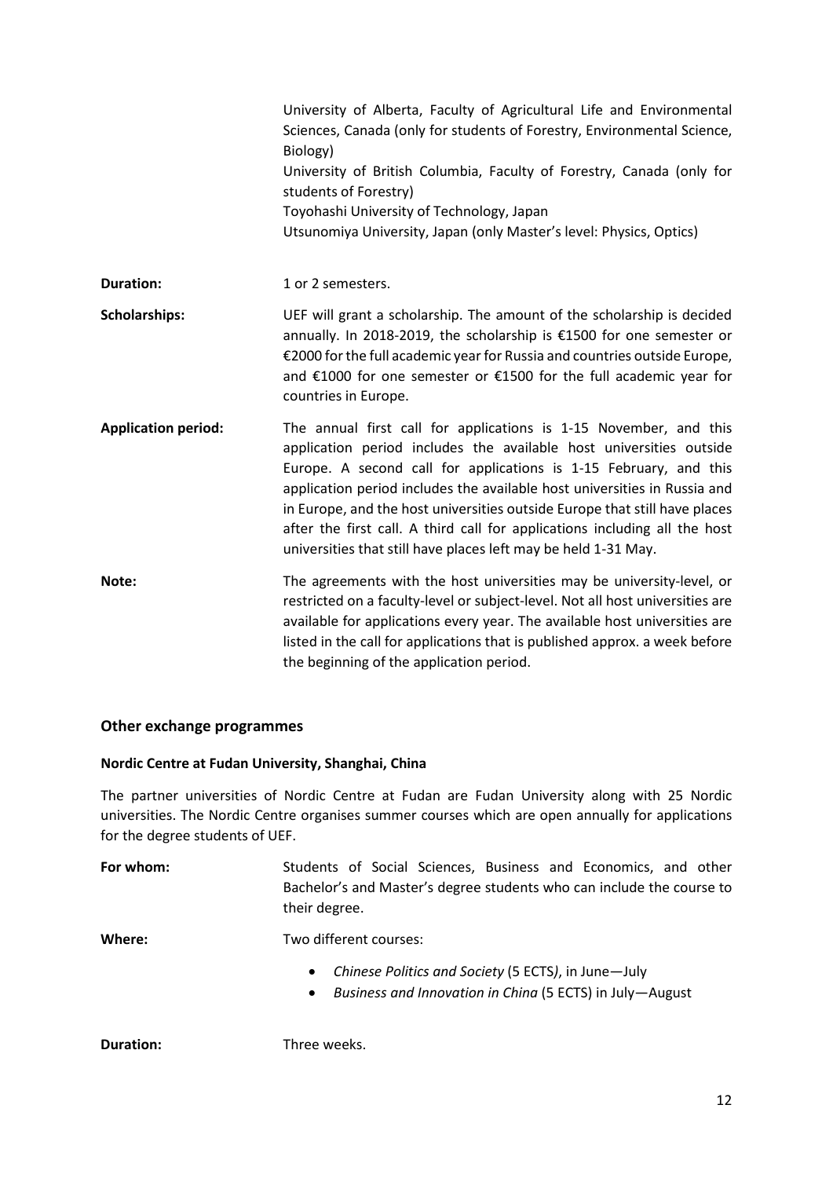|                            | University of Alberta, Faculty of Agricultural Life and Environmental<br>Sciences, Canada (only for students of Forestry, Environmental Science,<br>Biology)<br>University of British Columbia, Faculty of Forestry, Canada (only for<br>students of Forestry)<br>Toyohashi University of Technology, Japan<br>Utsunomiya University, Japan (only Master's level: Physics, Optics)                                                                                                                                       |
|----------------------------|--------------------------------------------------------------------------------------------------------------------------------------------------------------------------------------------------------------------------------------------------------------------------------------------------------------------------------------------------------------------------------------------------------------------------------------------------------------------------------------------------------------------------|
| <b>Duration:</b>           | 1 or 2 semesters.                                                                                                                                                                                                                                                                                                                                                                                                                                                                                                        |
| <b>Scholarships:</b>       | UEF will grant a scholarship. The amount of the scholarship is decided<br>annually. In 2018-2019, the scholarship is €1500 for one semester or<br>€2000 for the full academic year for Russia and countries outside Europe,<br>and €1000 for one semester or €1500 for the full academic year for<br>countries in Europe.                                                                                                                                                                                                |
| <b>Application period:</b> | The annual first call for applications is 1-15 November, and this<br>application period includes the available host universities outside<br>Europe. A second call for applications is 1-15 February, and this<br>application period includes the available host universities in Russia and<br>in Europe, and the host universities outside Europe that still have places<br>after the first call. A third call for applications including all the host<br>universities that still have places left may be held 1-31 May. |
| Note:                      | The agreements with the host universities may be university-level, or<br>restricted on a faculty-level or subject-level. Not all host universities are<br>available for applications every year. The available host universities are<br>listed in the call for applications that is published approx. a week before<br>the beginning of the application period.                                                                                                                                                          |

### **Other exchange programmes**

### **Nordic Centre at Fudan University, Shanghai, China**

The partner universities of Nordic Centre at Fudan are Fudan University along with 25 Nordic universities. The Nordic Centre organises summer courses which are open annually for applications for the degree students of UEF.

| For whom: | Students of Social Sciences, Business and Economics, and other                         |  |
|-----------|----------------------------------------------------------------------------------------|--|
|           | Bachelor's and Master's degree students who can include the course to<br>their degree. |  |
| Where:    | Two different courses:                                                                 |  |

- *Chinese Politics and Society* (5 ECTS*)*, in June—July
- *Business and Innovation in China* (5 ECTS) in July—August

**Duration:** Three weeks.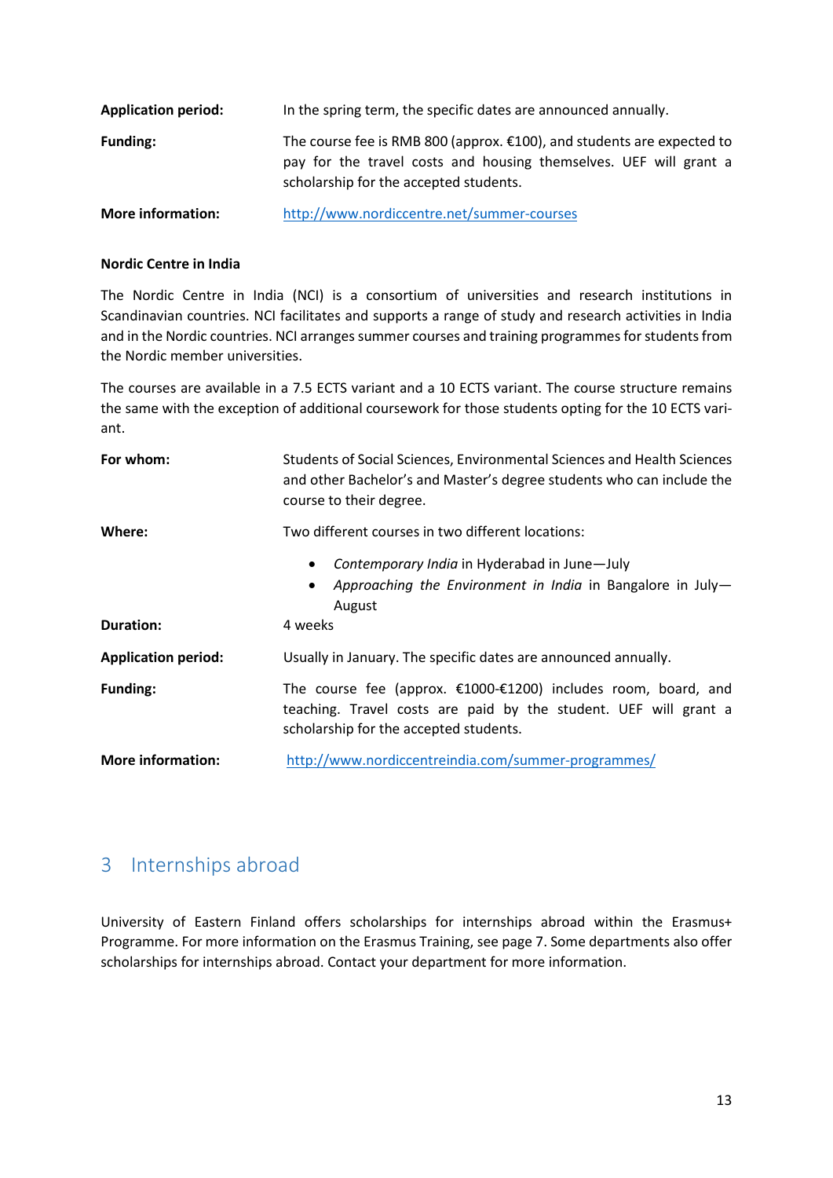| <b>Application period:</b> | In the spring term, the specific dates are announced annually.                                                                                                                        |
|----------------------------|---------------------------------------------------------------------------------------------------------------------------------------------------------------------------------------|
| <b>Funding:</b>            | The course fee is RMB 800 (approx. €100), and students are expected to<br>pay for the travel costs and housing themselves. UEF will grant a<br>scholarship for the accepted students. |
| <b>More information:</b>   | http://www.nordiccentre.net/summer-courses                                                                                                                                            |

### **Nordic Centre in India**

The Nordic Centre in India (NCI) is a consortium of universities and research institutions in Scandinavian countries. NCI facilitates and supports a range of study and research activities in India and in the Nordic countries. NCI arranges summer courses and training programmes for students from the Nordic member universities.

The courses are available in a 7.5 ECTS variant and a 10 ECTS variant. The course structure remains the same with the exception of additional coursework for those students opting for the 10 ECTS variant.

| For whom:                  | Students of Social Sciences, Environmental Sciences and Health Sciences<br>and other Bachelor's and Master's degree students who can include the<br>course to their degree.     |
|----------------------------|---------------------------------------------------------------------------------------------------------------------------------------------------------------------------------|
| Where:                     | Two different courses in two different locations:                                                                                                                               |
|                            | Contemporary India in Hyderabad in June-July<br>$\bullet$<br>Approaching the Environment in India in Bangalore in July-<br>August                                               |
| <b>Duration:</b>           | 4 weeks                                                                                                                                                                         |
| <b>Application period:</b> | Usually in January. The specific dates are announced annually.                                                                                                                  |
| <b>Funding:</b>            | The course fee (approx. $£1000-E1200$ ) includes room, board, and<br>teaching. Travel costs are paid by the student. UEF will grant a<br>scholarship for the accepted students. |
| <b>More information:</b>   | http://www.nordiccentreindia.com/summer-programmes/                                                                                                                             |

### <span id="page-12-0"></span>3 Internships abroad

University of Eastern Finland offers scholarships for internships abroad within the Erasmus+ Programme. For more information on the Erasmus Training, see page 7. Some departments also offer scholarships for internships abroad. Contact your department for more information.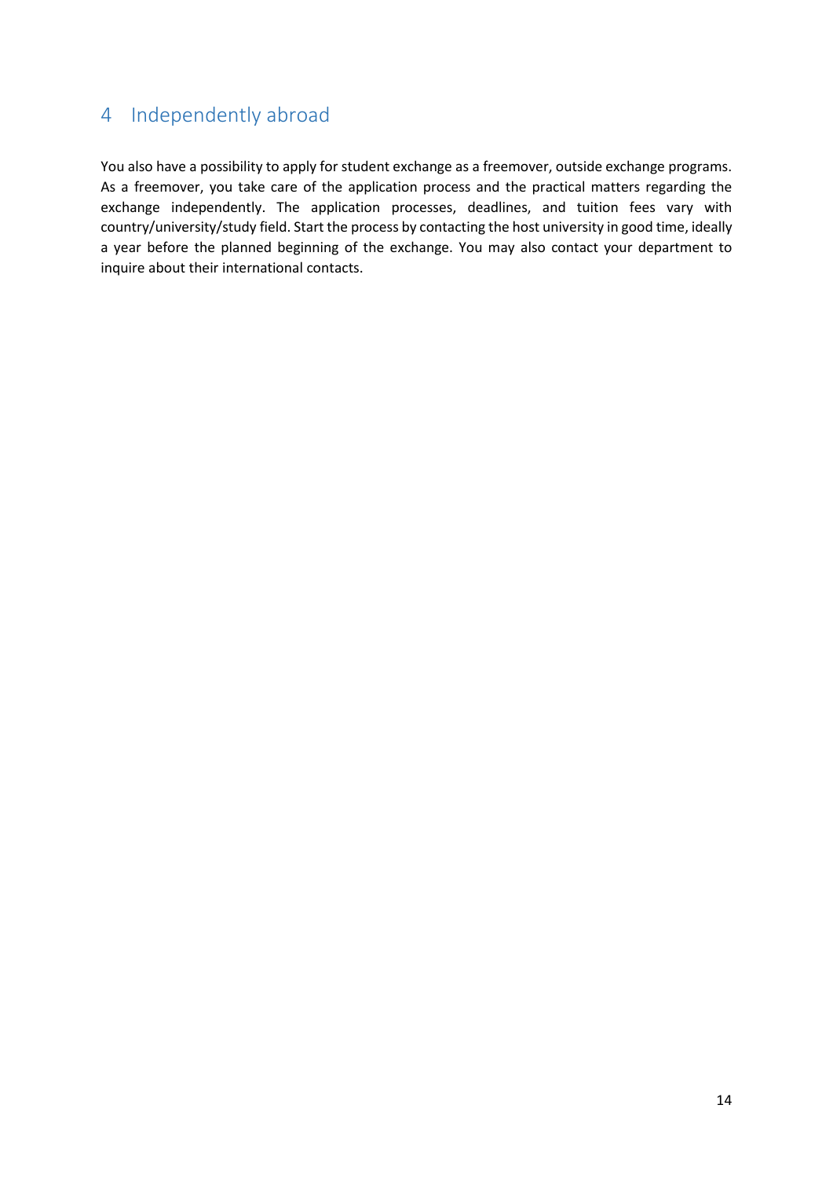### <span id="page-13-0"></span>4 Independently abroad

You also have a possibility to apply for student exchange as a freemover, outside exchange programs. As a freemover, you take care of the application process and the practical matters regarding the exchange independently. The application processes, deadlines, and tuition fees vary with country/university/study field. Start the process by contacting the host university in good time, ideally a year before the planned beginning of the exchange. You may also contact your department to inquire about their international contacts.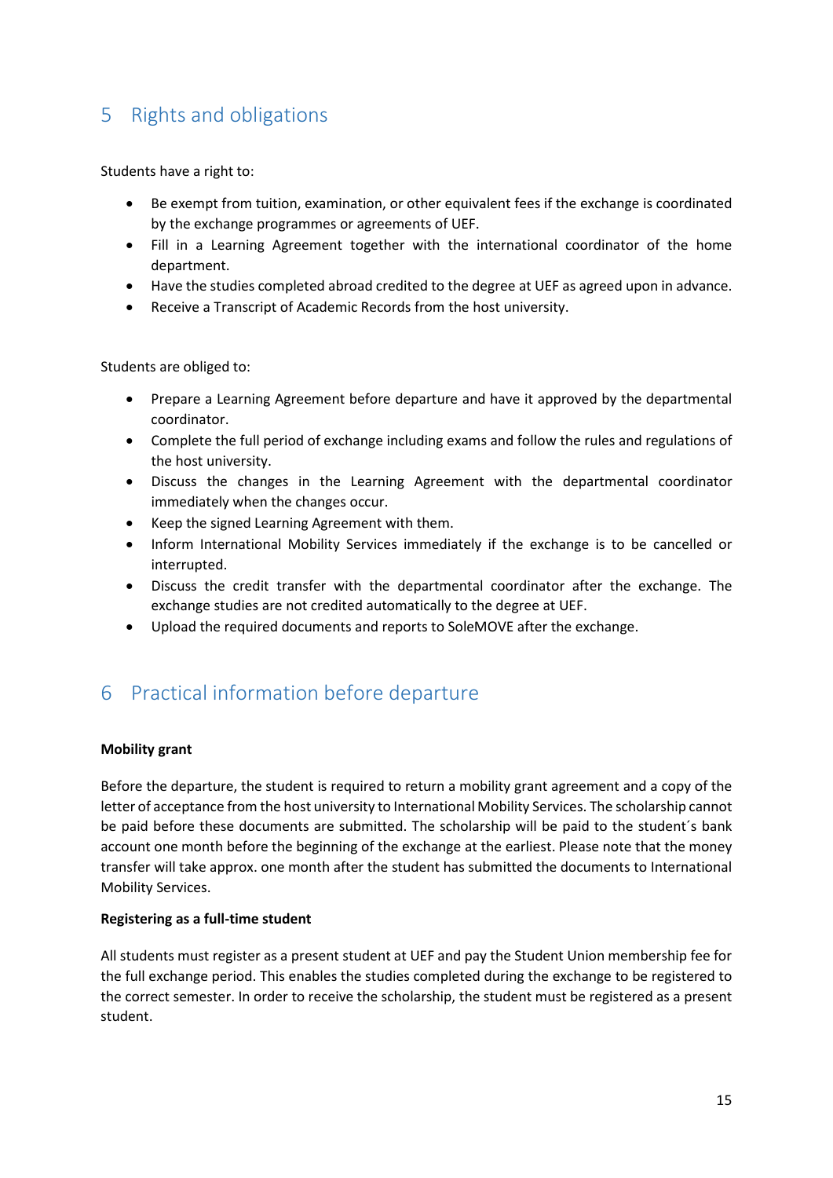# <span id="page-14-0"></span>5 Rights and obligations

Students have a right to:

- Be exempt from tuition, examination, or other equivalent fees if the exchange is coordinated by the exchange programmes or agreements of UEF.
- Fill in a Learning Agreement together with the international coordinator of the home department.
- Have the studies completed abroad credited to the degree at UEF as agreed upon in advance.
- Receive a Transcript of Academic Records from the host university.

Students are obliged to:

- Prepare a Learning Agreement before departure and have it approved by the departmental coordinator.
- Complete the full period of exchange including exams and follow the rules and regulations of the host university.
- Discuss the changes in the Learning Agreement with the departmental coordinator immediately when the changes occur.
- Keep the signed Learning Agreement with them.
- Inform International Mobility Services immediately if the exchange is to be cancelled or interrupted.
- Discuss the credit transfer with the departmental coordinator after the exchange. The exchange studies are not credited automatically to the degree at UEF.
- Upload the required documents and reports to SoleMOVE after the exchange.

### <span id="page-14-1"></span>6 Practical information before departure

### **Mobility grant**

Before the departure, the student is required to return a mobility grant agreement and a copy of the letter of acceptance from the host university to International Mobility Services. The scholarship cannot be paid before these documents are submitted. The scholarship will be paid to the student´s bank account one month before the beginning of the exchange at the earliest. Please note that the money transfer will take approx. one month after the student has submitted the documents to International Mobility Services.

### **Registering as a full-time student**

All students must register as a present student at UEF and pay the Student Union membership fee for the full exchange period. This enables the studies completed during the exchange to be registered to the correct semester. In order to receive the scholarship, the student must be registered as a present student.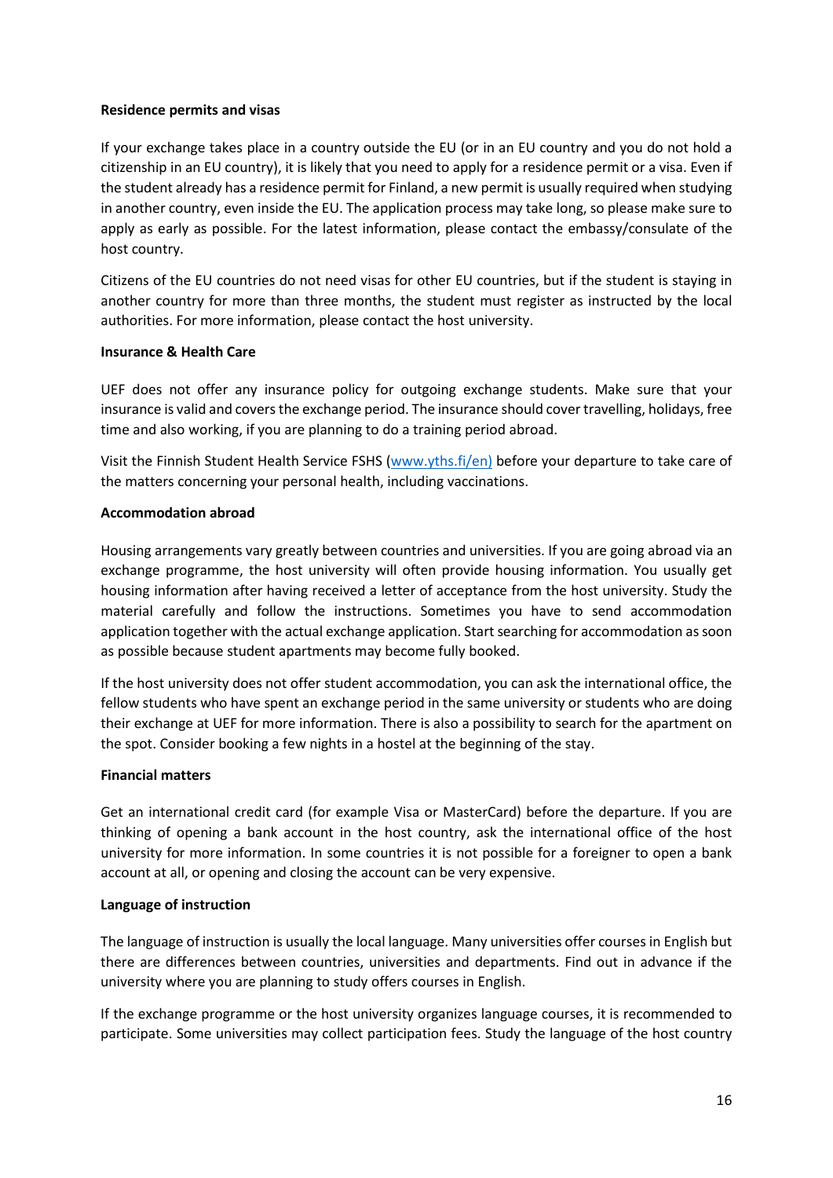### **Residence permits and visas**

If your exchange takes place in a country outside the EU (or in an EU country and you do not hold a citizenship in an EU country), it is likely that you need to apply for a residence permit or a visa. Even if the student already has a residence permit for Finland, a new permit is usually required when studying in another country, even inside the EU. The application process may take long, so please make sure to apply as early as possible. For the latest information, please contact the embassy/consulate of the host country.

Citizens of the EU countries do not need visas for other EU countries, but if the student is staying in another country for more than three months, the student must register as instructed by the local authorities. For more information, please contact the host university.

### **Insurance & Health Care**

UEF does not offer any insurance policy for outgoing exchange students. Make sure that your insurance is valid and covers the exchange period. The insurance should cover travelling, holidays, free time and also working, if you are planning to do a training period abroad.

Visit the Finnish Student Health Service FSHS [\(www.yths.fi/en\)](http://www.yths.fi/en) before your departure to take care of the matters concerning your personal health, including vaccinations.

### **Accommodation abroad**

Housing arrangements vary greatly between countries and universities. If you are going abroad via an exchange programme, the host university will often provide housing information. You usually get housing information after having received a letter of acceptance from the host university. Study the material carefully and follow the instructions. Sometimes you have to send accommodation application together with the actual exchange application. Start searching for accommodation as soon as possible because student apartments may become fully booked.

If the host university does not offer student accommodation, you can ask the international office, the fellow students who have spent an exchange period in the same university or students who are doing their exchange at UEF for more information. There is also a possibility to search for the apartment on the spot. Consider booking a few nights in a hostel at the beginning of the stay.

### **Financial matters**

Get an international credit card (for example Visa or MasterCard) before the departure. If you are thinking of opening a bank account in the host country, ask the international office of the host university for more information. In some countries it is not possible for a foreigner to open a bank account at all, or opening and closing the account can be very expensive.

#### **Language of instruction**

The language of instruction is usually the local language. Many universities offer courses in English but there are differences between countries, universities and departments. Find out in advance if the university where you are planning to study offers courses in English.

If the exchange programme or the host university organizes language courses, it is recommended to participate. Some universities may collect participation fees. Study the language of the host country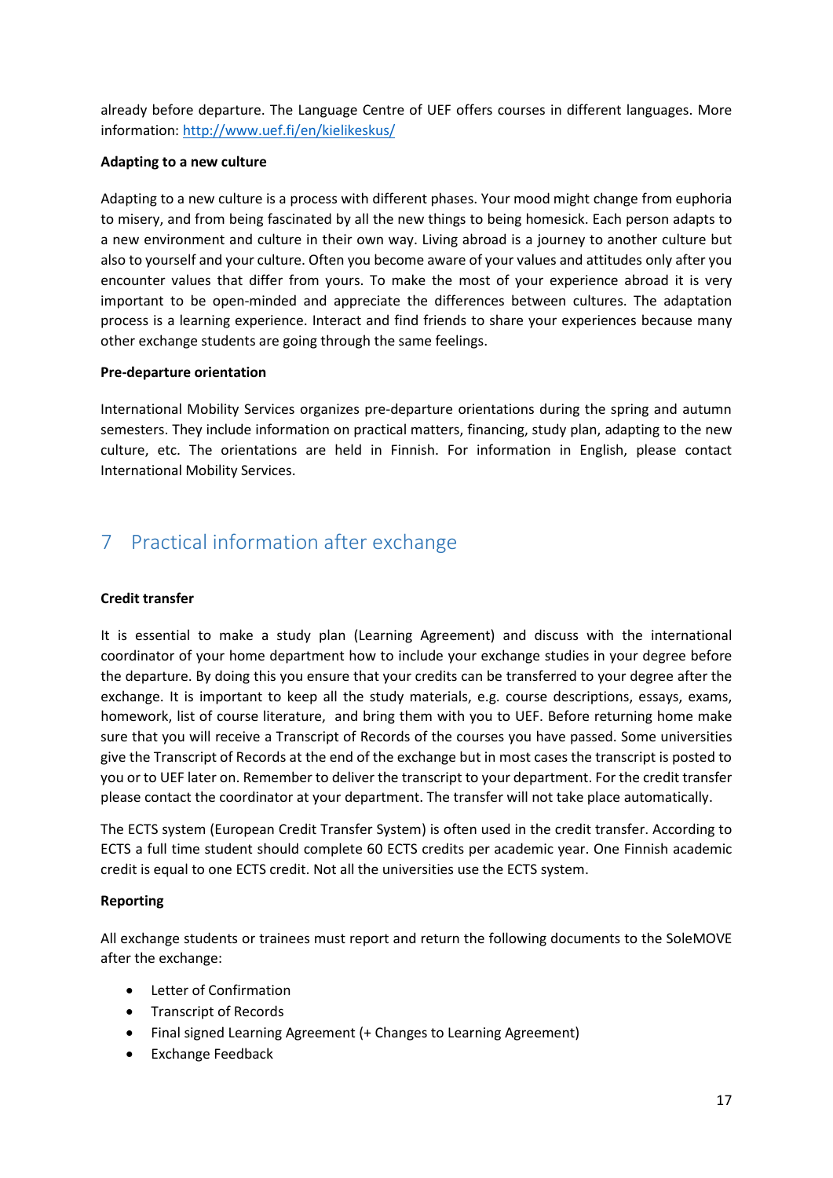already before departure. The Language Centre of UEF offers courses in different languages. More information: <http://www.uef.fi/en/kielikeskus/>

### **Adapting to a new culture**

Adapting to a new culture is a process with different phases. Your mood might change from euphoria to misery, and from being fascinated by all the new things to being homesick. Each person adapts to a new environment and culture in their own way. Living abroad is a journey to another culture but also to yourself and your culture. Often you become aware of your values and attitudes only after you encounter values that differ from yours. To make the most of your experience abroad it is very important to be open-minded and appreciate the differences between cultures. The adaptation process is a learning experience. Interact and find friends to share your experiences because many other exchange students are going through the same feelings.

### **Pre-departure orientation**

International Mobility Services organizes pre-departure orientations during the spring and autumn semesters. They include information on practical matters, financing, study plan, adapting to the new culture, etc. The orientations are held in Finnish. For information in English, please contact International Mobility Services.

# <span id="page-16-0"></span>7 Practical information after exchange

### **Credit transfer**

It is essential to make a study plan (Learning Agreement) and discuss with the international coordinator of your home department how to include your exchange studies in your degree before the departure. By doing this you ensure that your credits can be transferred to your degree after the exchange. It is important to keep all the study materials, e.g. course descriptions, essays, exams, homework, list of course literature, and bring them with you to UEF. Before returning home make sure that you will receive a Transcript of Records of the courses you have passed. Some universities give the Transcript of Records at the end of the exchange but in most cases the transcript is posted to you or to UEF later on. Remember to deliver the transcript to your department. For the credit transfer please contact the coordinator at your department. The transfer will not take place automatically.

The ECTS system (European Credit Transfer System) is often used in the credit transfer. According to ECTS a full time student should complete 60 ECTS credits per academic year. One Finnish academic credit is equal to one ECTS credit. Not all the universities use the ECTS system.

### **Reporting**

All exchange students or trainees must report and return the following documents to the SoleMOVE after the exchange:

- Letter of Confirmation
- Transcript of Records
- Final signed Learning Agreement (+ Changes to Learning Agreement)
- Exchange Feedback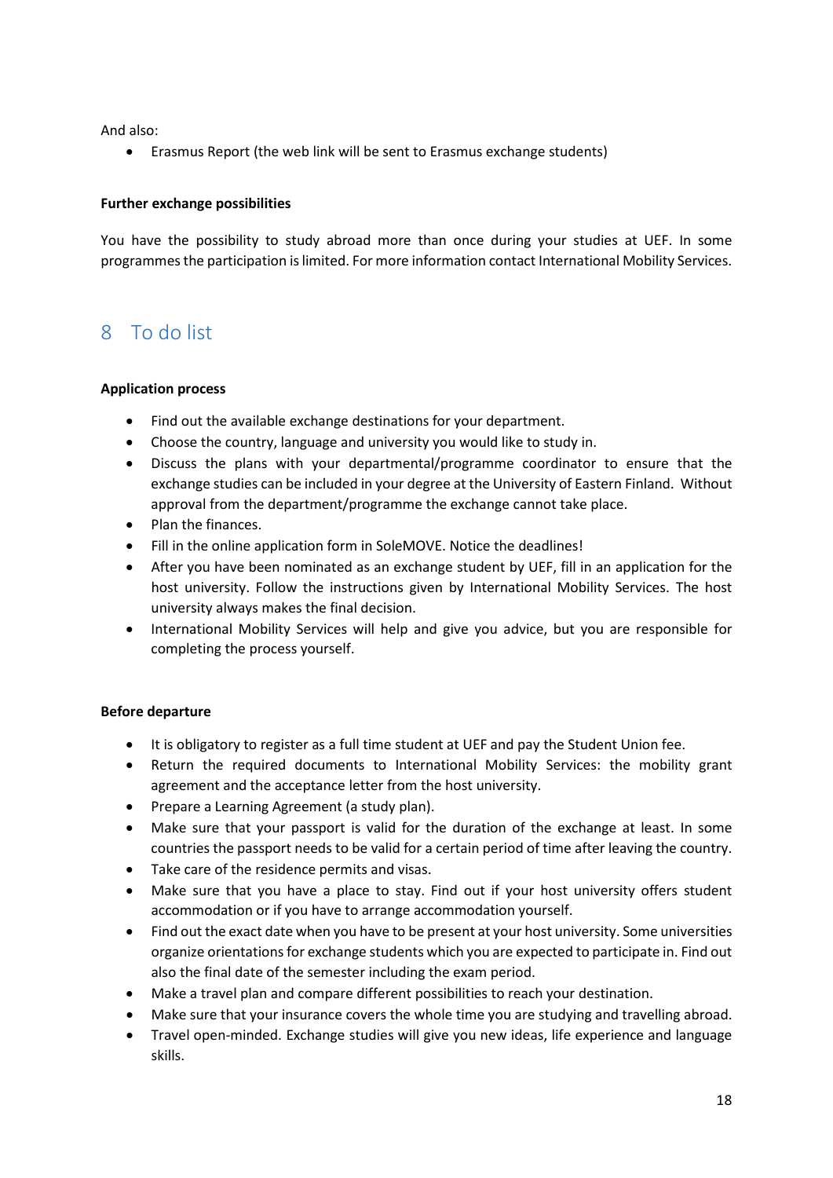And also:

• Erasmus Report (the web link will be sent to Erasmus exchange students)

### **Further exchange possibilities**

You have the possibility to study abroad more than once during your studies at UEF. In some programmes the participation is limited. For more information contact International Mobility Services.

### <span id="page-17-0"></span>8 To do list

### **Application process**

- Find out the available exchange destinations for your department.
- Choose the country, language and university you would like to study in.
- Discuss the plans with your departmental/programme coordinator to ensure that the exchange studies can be included in your degree at the University of Eastern Finland. Without approval from the department/programme the exchange cannot take place.
- Plan the finances.
- Fill in the online application form in SoleMOVE. Notice the deadlines!
- After you have been nominated as an exchange student by UEF, fill in an application for the host university. Follow the instructions given by International Mobility Services. The host university always makes the final decision.
- International Mobility Services will help and give you advice, but you are responsible for completing the process yourself.

### **Before departure**

- It is obligatory to register as a full time student at UEF and pay the Student Union fee.
- Return the required documents to International Mobility Services: the mobility grant agreement and the acceptance letter from the host university.
- Prepare a Learning Agreement (a study plan).
- Make sure that your passport is valid for the duration of the exchange at least. In some countries the passport needs to be valid for a certain period of time after leaving the country.
- Take care of the residence permits and visas.
- Make sure that you have a place to stay. Find out if your host university offers student accommodation or if you have to arrange accommodation yourself.
- Find out the exact date when you have to be present at your host university. Some universities organize orientations for exchange students which you are expected to participate in. Find out also the final date of the semester including the exam period.
- Make a travel plan and compare different possibilities to reach your destination.
- Make sure that your insurance covers the whole time you are studying and travelling abroad.
- Travel open-minded. Exchange studies will give you new ideas, life experience and language skills.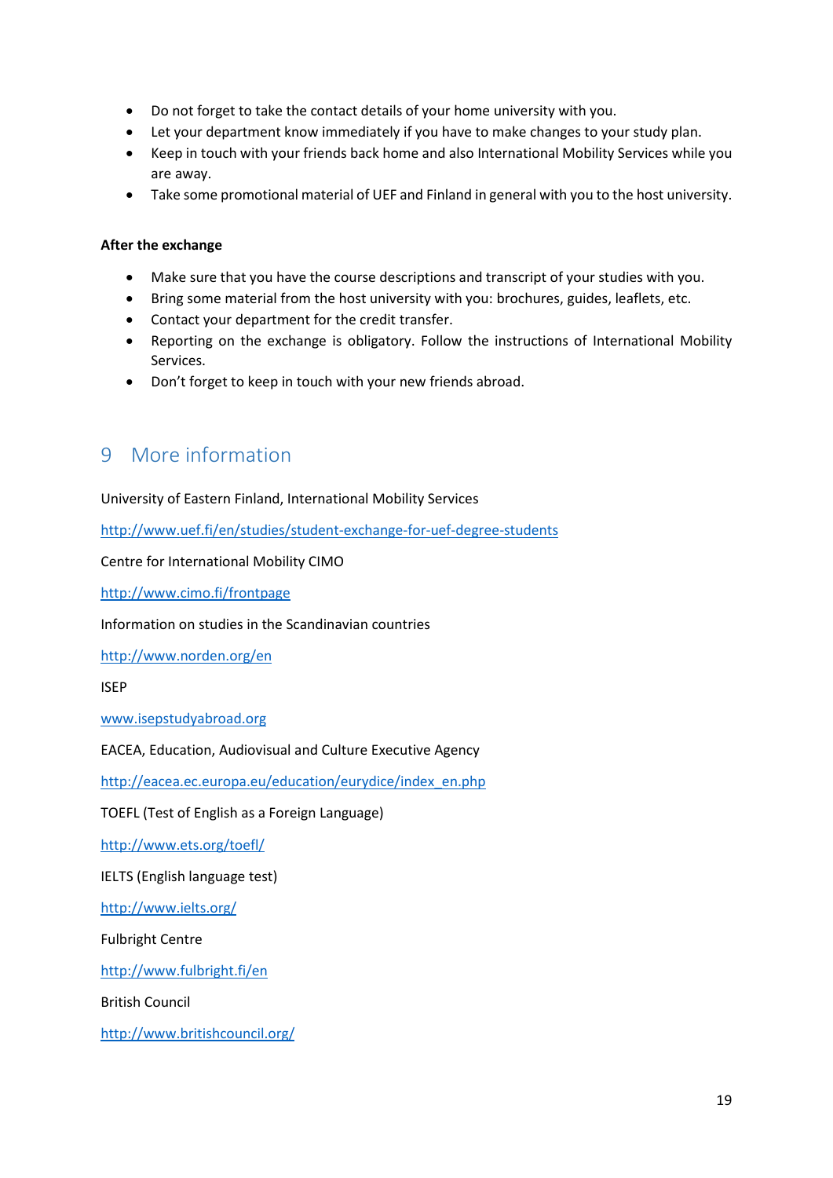- Do not forget to take the contact details of your home university with you.
- Let your department know immediately if you have to make changes to your study plan.
- Keep in touch with your friends back home and also International Mobility Services while you are away.
- Take some promotional material of UEF and Finland in general with you to the host university.

### **After the exchange**

- Make sure that you have the course descriptions and transcript of your studies with you.
- Bring some material from the host university with you: brochures, guides, leaflets, etc.
- Contact your department for the credit transfer.
- Reporting on the exchange is obligatory. Follow the instructions of International Mobility Services.
- Don't forget to keep in touch with your new friends abroad.

## <span id="page-18-0"></span>9 More information

University of Eastern Finland, International Mobility Services

<http://www.uef.fi/en/studies/student-exchange-for-uef-degree-students>

Centre for International Mobility CIMO

<http://www.cimo.fi/frontpage>

Information on studies in the Scandinavian countries

<http://www.norden.org/en>

ISEP

[www.isepstudyabroad.org](http://www.isepstudyabroad.org/)

EACEA, Education, Audiovisual and Culture Executive Agency

[http://eacea.ec.europa.eu/education/eurydice/index\\_en.php](http://eacea.ec.europa.eu/education/eurydice/index_en.php)

TOEFL (Test of English as a Foreign Language)

<http://www.ets.org/toefl/>

IELTS (English language test)

<http://www.ielts.org/>

Fulbright Centre

<http://www.fulbright.fi/en>

British Council

<http://www.britishcouncil.org/>